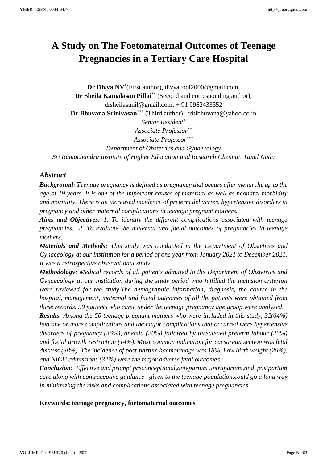# **A Study on The Foetomaternal Outcomes of Teenage Pregnancies in a Tertiary Care Hospital**

**Dr Divya NV**\* (First author), divyacool2000@gmail.com, **Dr Sheila Kamalasan Pillai**\*\* (Second and corresponding author), [drsheilasunil@gmail.com,](mailto:drsheilasunil@gmail.com) + 91 9962433352 **Dr Bhuvana Srinivasan**\*\*\* (Third author), kritibhuvana@yahoo.co.in *Senior Resident\* Associate Professor\*\* Associate Professor\*\*\* Department of Obstetrics and Gynaecology Sri Ramachandra Institute of Higher Education and Research Chennai, Tamil Nadu*

## *Abstract*

*Background: Teenage pregnancy is defined as pregnancy that occurs after menarche up to the age of 19 years. It is one of the important causes of maternal as well as neonatal morbidity and mortality. There is an increased incidence of preterm deliveries, hypertensive disorders in pregnancy and other maternal complications in teenage pregnant mothers.*

*Aims and Objectives: 1. To identify the different complications associated with teenage pregnancies. 2. To evaluate the maternal and foetal outcomes of pregnancies in teenage mothers.*

*Materials and Methods: This study was conducted in the Department of Obstetrics and Gynaecology at our institution for a period of one year from January 2021 to December 2021. It was a retrospective observational study.*

*Methodology: Medical records of all patients admitted to the Department of Obstetrics and Gynaecology at our institution during the study period who fulfilled the inclusion criterion were reviewed for the study.The demographic information, diagnosis, the course in the hospital, management, maternal and foetal outcomes of all the patients were obtained from these records. 50 patients who came under the teenage pregnancy age group were analysed.*

*Results: Among the 50 teenage pregnant mothers who were included in this study, 32(64%) had one or more complications and the major complications that occurred were hypertensive disorders of pregnancy (36%), anemia (20%) followed by threatened preterm labour (20%) and foetal growth restriction (14%). Most common indication for caesarean section was fetal distress (38%). The incidence of post-partum haemorrhage was 18%. Low birth weight (26%), and NICU admissions (32%) were the major adverse fetal outcomes.*

*Conclusion: Effective and prompt preconceptional,antepartum ,intrapartum,and postpartum care along with contraceptive guidance given to the teenage population,could go a long way in minimizing the risks and complications associated with teenage pregnancies.*

**Keywords: teenage pregnancy, foetomaternal outcomes**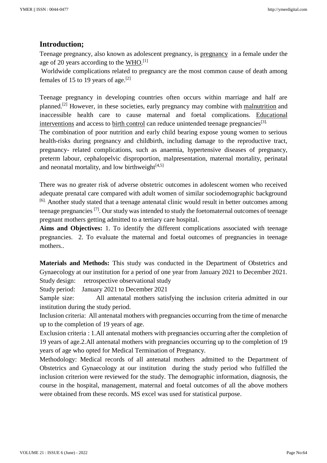# **Introduction;**

Teenage pregnancy, also known as adolescent pregnancy, is [pregnancy](https://en.wikipedia.org/wiki/Pregnancy) in a female under the age of 20 years according to the  $\underline{WHO}$ .<sup>[1]</sup>

Worldwide complications related to pregnancy are the most common cause of death among females of 15 to 19 years of age.[2]

Teenage pregnancy in developing countries often occurs within marriage and half are planned.[2] However, in these societies, early pregnancy may combine with [malnutrition](https://en.wikipedia.org/wiki/Malnutrition) and inaccessible health care to cause maternal and foetal complications. [Educational](https://en.wikipedia.org/wiki/Comprehensive_sex_education)  [interventions](https://en.wikipedia.org/wiki/Comprehensive_sex_education) and access to [birth control](https://en.wikipedia.org/wiki/Birth_control) can reduce unintended teenage pregnancies<sup>[3].</sup>

The combination of poor nutrition and early child bearing expose young women to serious health-risks during pregnancy and childbirth, including damage to the reproductive tract, pregnancy- related complications, such as anaemia, hypertensive diseases of pregnancy, preterm labour, cephalopelvic disproportion, malpresentation, maternal mortality, perinatal and neonatal mortality, and low birthweight $[4,5]$ 

There was no greater risk of adverse obstetric outcomes in adolescent women who received adequate prenatal care compared with adult women of similar sociodemographic background <sup>[6].</sup> Another study stated that a teenage antenatal clinic would result in better outcomes among teenage pregnancies [7]. Our study was intended to study the foetomaternal outcomes of teenage pregnant mothers getting admitted to a tertiary care hospital.

**Aims and Objectives:** 1. To identify the different complications associated with teenage pregnancies. 2. To evaluate the maternal and foetal outcomes of pregnancies in teenage mothers

**Materials and Methods:** This study was conducted in the Department of Obstetrics and Gynaecology at our institution for a period of one year from January 2021 to December 2021. Study design: retrospective observational study

Study period: January 2021 to December 2021

Sample size: All antenatal mothers satisfying the inclusion criteria admitted in our institution during the study period.

Inclusion criteria: All antenatal mothers with pregnancies occurring from the time of menarche up to the completion of 19 years of age.

Exclusion criteria : 1.All antenatal mothers with pregnancies occurring after the completion of 19 years of age.2.All antenatal mothers with pregnancies occurring up to the completion of 19 years of age who opted for Medical Termination of Pregnancy.

Methodology: Medical records of all antenatal mothers admitted to the Department of Obstetrics and Gynaecology at our institution during the study period who fulfilled the inclusion criterion were reviewed for the study. The demographic information, diagnosis, the course in the hospital, management, maternal and foetal outcomes of all the above mothers were obtained from these records. MS excel was used for statistical purpose.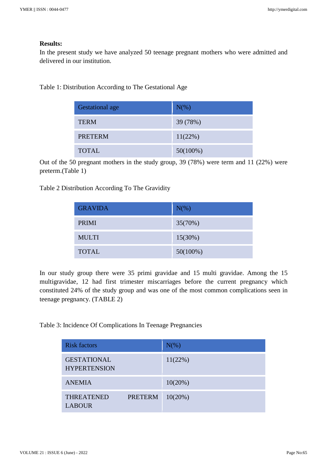### **Results:**

In the present study we have analyzed 50 teenage pregnant mothers who were admitted and delivered in our institution.

Table 1: Distribution According to The Gestational Age

| <b>Gestational age</b> | $N(\%)$     |
|------------------------|-------------|
| <b>TERM</b>            | 39 (78%)    |
| <b>PRETERM</b>         | 11(22%)     |
| <b>TOTAL</b>           | $50(100\%)$ |

Out of the 50 pregnant mothers in the study group, 39 (78%) were term and 11 (22%) were preterm.(Table 1)

Table 2 Distribution According To The Gravidity

| <b>GRAVIDA</b> | $N(\%)$     |
|----------------|-------------|
| <b>PRIMI</b>   | 35(70%)     |
| <b>MULTI</b>   | $15(30\%)$  |
| <b>TOTAL</b>   | $50(100\%)$ |

In our study group there were 35 primi gravidae and 15 multi gravidae. Among the 15 multigravidae, 12 had first trimester miscarriages before the current pregnancy which constituted 24% of the study group and was one of the most common complications seen in teenage pregnancy. (TABLE 2)

Table 3: Incidence Of Complications In Teenage Pregnancies

| <b>Risk factors</b>                       |                | $N(\%)$    |
|-------------------------------------------|----------------|------------|
| <b>GESTATIONAL</b><br><b>HYPERTENSION</b> |                | $11(22\%)$ |
| <b>ANEMIA</b>                             |                | $10(20\%)$ |
| <b>THREATENED</b><br><b>LABOUR</b>        | <b>PRETERM</b> | 10(20%)    |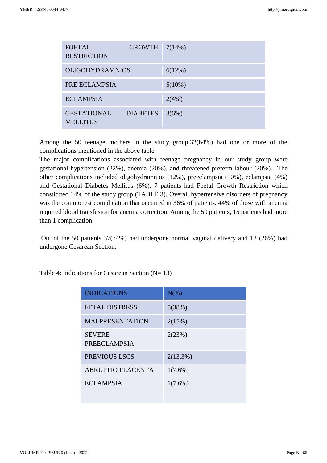| <b>FOETAL</b><br><b>RESTRICTION</b>   | $GROWTH$ 7(14%) |           |
|---------------------------------------|-----------------|-----------|
| <b>OLIGOHYDRAMNIOS</b>                |                 | 6(12%)    |
| PRE ECLAMPSIA                         |                 | $5(10\%)$ |
| <b>ECLAMPSIA</b>                      |                 | 2(4%)     |
| <b>GESTATIONAL</b><br><b>MELLITUS</b> | <b>DIABETES</b> | 3(6%)     |

Among the 50 teenage mothers in the study group,32(64%) had one or more of the complications mentioned in the above table.

The major complications associated with teenage pregnancy in our study group were gestational hypertension (22%), anemia (20%), and threatened preterm labour (20%). The other complications included oligohydramnios (12%), preeclampsia (10%), eclampsia (4%) and Gestational Diabetes Mellitus (6%). 7 patients had Foetal Growth Restriction which constituted 14% of the study group (TABLE 3). Overall hypertensive disorders of pregnancy was the commonest complication that occurred in 36% of patients. 44% of those with anemia required blood transfusion for anemia correction. Among the 50 patients, 15 patients had more than 1 complication.

Out of the 50 patients 37(74%) had undergone normal vaginal delivery and 13 (26%) had undergone Cesarean Section.

Table 4: Indications for Cesarean Section  $(N= 13)$ 

| <b>INDICATIONS</b>                   | $N(\%)$     |
|--------------------------------------|-------------|
| <b>FETAL DISTRESS</b>                | 5(38%)      |
| <b>MALPRESENTATION</b>               | 2(15%)      |
| <b>SEVERE</b><br><b>PREECLAMPSIA</b> | 2(23%)      |
| PREVIOUS LSCS                        | $2(13.3\%)$ |
| <b>ABRUPTIO PLACENTA</b>             | $1(7.6\%)$  |
| <b>ECLAMPSIA</b>                     | $1(7.6\%)$  |
|                                      |             |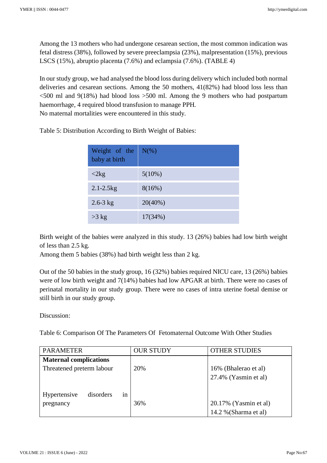Among the 13 mothers who had undergone cesarean section, the most common indication was fetal distress (38%), followed by severe preeclampsia (23%), malpresentation (15%), previous LSCS (15%), abruptio placenta (7.6%) and eclampsia (7.6%). (TABLE 4)

In our study group, we had analysed the blood loss during delivery which included both normal deliveries and cesarean sections. Among the 50 mothers, 41(82%) had blood loss less than  $\leq$ 500 ml and 9(18%) had blood loss  $>$ 500 ml. Among the 9 mothers who had postpartum haemorrhage, 4 required blood transfusion to manage PPH. No maternal mortalities were encountered in this study.

| Weight of the<br>baby at birth | $N(\%)$    |
|--------------------------------|------------|
| $\langle 2kg$                  | $5(10\%)$  |
| $2.1 - 2.5$ kg                 | 8(16%)     |
| $2.6 - 3$ kg                   | $20(40\%)$ |
| $>3$ kg                        | 17(34%)    |

Table 5: Distribution According to Birth Weight of Babies:

Birth weight of the babies were analyzed in this study. 13 (26%) babies had low birth weight of less than 2.5 kg.

Among them 5 babies (38%) had birth weight less than 2 kg.

Out of the 50 babies in the study group, 16 (32%) babies required NICU care, 13 (26%) babies were of low birth weight and 7(14%) babies had low APGAR at birth. There were no cases of perinatal mortality in our study group. There were no cases of intra uterine foetal demise or still birth in our study group.

Discussion:

Table 6: Comparison Of The Parameters Of Fetomaternal Outcome With Other Studies

| <b>PARAMETER</b>                | <b>OUR STUDY</b> | <b>OTHER STUDIES</b>  |
|---------------------------------|------------------|-----------------------|
| <b>Maternal complications</b>   |                  |                       |
| Threatened preterm labour       | 20%              | 16% (Bhalerao et al)  |
|                                 |                  | 27.4% (Yasmin et al)  |
|                                 |                  |                       |
| disorders<br>Hypertensive<br>1n |                  |                       |
| pregnancy                       | 36%              | 20.17% (Yasmin et al) |
|                                 |                  | 14.2 % (Sharma et al) |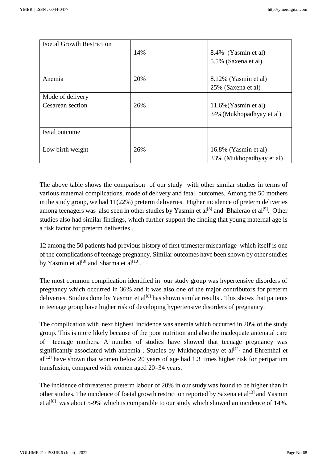| <b>Foetal Growth Restriction</b> |     |                          |
|----------------------------------|-----|--------------------------|
|                                  | 14% | 8.4% (Yasmin et al)      |
|                                  |     | 5.5% (Saxena et al)      |
|                                  |     |                          |
| Anemia                           | 20% | 8.12% (Yasmin et al)     |
|                                  |     | 25% (Saxena et al)       |
| Mode of delivery                 |     |                          |
| Cesarean section                 | 26% | $11.6\%$ (Yasmin et al)  |
|                                  |     | 34% (Mukhopadhyay et al) |
|                                  |     |                          |
| Fetal outcome                    |     |                          |
|                                  |     |                          |
| Low birth weight                 | 26% | 16.8% (Yasmin et al)     |
|                                  |     | 33% (Mukhopadhyay et al) |

The above table shows the comparison of our study with other similar studies in terms of various maternal complications, mode of delivery and fetal outcomes. Among the 50 mothers in the study group, we had 11(22%) preterm deliveries. Higher incidence of preterm deliveries among teenagers was also seen in other studies by Yasmin et al<sup>[8]</sup> and Bhalerao et al<sup>[9]</sup>. Other studies also had similar findings, which further support the finding that young maternal age is a risk factor for preterm deliveries .

12 among the 50 patients had previous history of first trimester miscarriage which itself is one of the complications of teenage pregnancy. Similar outcomes have been shown by other studies by Yasmin et al $^{[8]}$  and Sharma et al $^{[10]}$ .

The most common complication identified in our study group was hypertensive disorders of pregnancy which occurred in 36% and it was also one of the major contributors for preterm deliveries. Studies done by Yasmin et al<sup>[8]</sup> has shown similar results . This shows that patients in teenage group have higher risk of developing hypertensive disorders of pregnancy.

The complication with next highest incidence was anemia which occurred in 20% of the study group. This is more likely because of the poor nutrition and also the inadequate antenatal care of teenage mothers. A number of studies have showed that teenage pregnancy was significantly associated with anaemia . Studies by Mukhopadhyay et  $al^{[11]}$  and Ehrenthal et  $al^{[12]}$  have shown that women below 20 years of age had 1.3 times higher risk for peripartum transfusion, compared with women aged 20–34 years.

The incidence of threatened preterm labour of 20% in our study was found to be higher than in other studies. The incidence of foetal growth restriction reported by Saxena et al<sup>13]</sup> and Yasmin et al<sup>[8]</sup> was about 5-9% which is comparable to our study which showed an incidence of 14%.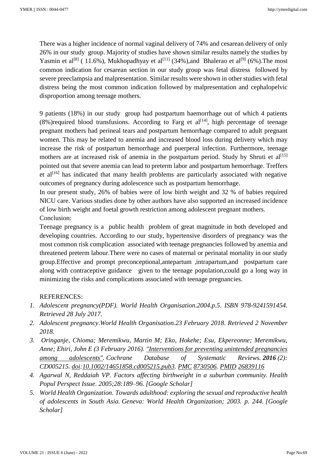There was a higher incidence of normal vaginal delivery of 74% and cesarean delivery of only 26% in our study group. Majority of studies have shown similar results namely the studies by Yasmin et al<sup>[8]</sup> (11.6%), Mukhopadhyay et al<sup>[11]</sup> (34%), and Bhalerao et al<sup>[9]</sup> (6%). The most common indication for cesarean section in our study group was fetal distress followed by severe preeclampsia and malpresentation. Similar results were shown in other studies with fetal distress being the most common indication followed by malpresentation and cephalopelvic disproportion among teenage mothers.

9 patients (18%) in our study group had postpartum haemorrhage out of which 4 patients  $(8\%)$ required blood transfusions. According to Farg et al<sup>[14]</sup>, high percentage of teenage pregnant mothers had perineal tears and postpartum hemorrhage compared to adult pregnant women. This may be related to anemia and increased blood loss during delivery which may increase the risk of postpartum hemorrhage and puerperal infection. Furthermore, teenage mothers are at increased risk of anemia in the postpartum period. Study by Shruti et  $al^{[15]}$ pointed out that severe anemia can lead to preterm labor and postpartum hemorrhage. Treffers et al<sup>[16]</sup> has indicated that many health problems are particularly associated with negative outcomes of pregnancy during adolescence such as postpartum hemorrhage.

In our present study, 26% of babies were of low birth weight and 32 % of babies required NICU care. Various studies done by other authors have also supported an increased incidence of low birth weight and foetal growth restriction among adolescent pregnant mothers. Conclusion:

Teenage pregnancy is a public health problem of great magnitude in both developed and developing countries. According to our study, hypertensive disorders of pregnancy was the most common risk complication associated with teenage pregnancies followed by anemia and threatened preterm labour.There were no cases of maternal or perinatal mortality in our study group.Effective and prompt preconceptional,antepartum ,intrapartum,and postpartum care along with contraceptive guidance given to the teenage population,could go a long way in minimizing the risks and complications associated with teenage pregnancies.

#### REFERENCES:

- *1. Adolescent pregnancy(PDF). World Health Organisation.2004.p.5. ISBN 978-9241591454. Retrieved 28 July 2017.*
- *2. Adolescent pregnancy.World Health Organisation.23 February 2018. Retrieved 2 November 2018.*
- *3. Oringanje, Chioma; Meremikwu, Martin M; Eko, Hokehe; Esu, Ekpereonne; Meremikwu, Anne; Ehiri, John E (3 February 2016). ["Interventions for preventing unintended pregnancies](https://www.ncbi.nlm.nih.gov/pmc/articles/PMC8730506)  [among adolescents".](https://www.ncbi.nlm.nih.gov/pmc/articles/PMC8730506) Cochrane Database of Systematic Reviews. 2016 (2): CD005215. [doi](https://en.wikipedia.org/wiki/Doi_(identifier))[:10.1002/14651858.cd005215.pub3.](https://doi.org/10.1002%2F14651858.cd005215.pub3) [PMC](https://en.wikipedia.org/wiki/PMC_(identifier)) [8730506.](https://www.ncbi.nlm.nih.gov/pmc/articles/PMC8730506) [PMID](https://en.wikipedia.org/wiki/PMID_(identifier)) [26839116](https://pubmed.ncbi.nlm.nih.gov/26839116)*
- *4. Agarwal N, Reddaiah VP. Factors affecting birthweight in a suburban community. Health Popul Perspect Issue. 2005;28:189–96. [Google [Scholar\]](https://scholar.google.com/scholar_lookup?journal=Health+Popul+Perspect+Issue&title=Factors+affecting+birthweight+in+a+suburban+community&author=N+Agarwal&author=VP+Reddaiah&volume=28&publication_year=2005&pages=189-96&)*
- *5. World Health Organization. Towards adulthood: exploring the sexual and reproductive health of adolescents in South Asia. Geneva: World Health Organization; 2003. p. 244. [\[Google](https://scholar.google.com/scholar_lookup?title=Towards+adulthood:+exploring+the+sexual+and+reproductive+health+of+adolescents+in+South+Asia&publication_year=2003&)  [Scholar\]](https://scholar.google.com/scholar_lookup?title=Towards+adulthood:+exploring+the+sexual+and+reproductive+health+of+adolescents+in+South+Asia&publication_year=2003&)*